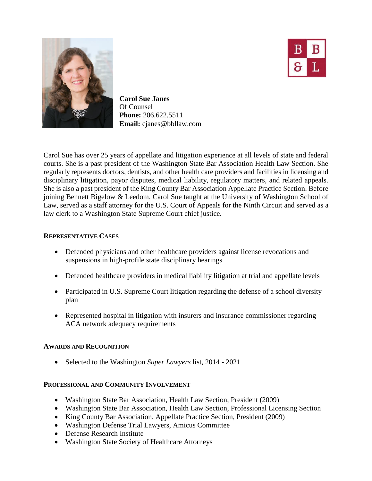



**Carol Sue Janes** Of Counsel **Phone:** 206.622.5511 **Email:** cjanes@bbllaw.com

Carol Sue has over 25 years of appellate and litigation experience at all levels of state and federal courts. She is a past president of the Washington State Bar Association Health Law Section. She regularly represents doctors, dentists, and other health care providers and facilities in licensing and disciplinary litigation, payor disputes, medical liability, regulatory matters, and related appeals. She is also a past president of the King County Bar Association Appellate Practice Section. Before joining Bennett Bigelow & Leedom, Carol Sue taught at the University of Washington School of Law, served as a staff attorney for the U.S. Court of Appeals for the Ninth Circuit and served as a law clerk to a Washington State Supreme Court chief justice.

### **REPRESENTATIVE CASES**

- Defended physicians and other healthcare providers against license revocations and suspensions in high-profile state disciplinary hearings
- Defended healthcare providers in medical liability litigation at trial and appellate levels
- Participated in U.S. Supreme Court litigation regarding the defense of a school diversity plan
- Represented hospital in litigation with insurers and insurance commissioner regarding ACA network adequacy requirements

# **AWARDS AND RECOGNITION**

• Selected to the Washington *Super Lawyers* list, 2014 - 2021

# **PROFESSIONAL AND COMMUNITY INVOLVEMENT**

- Washington State Bar Association, Health Law Section, President (2009)
- Washington State Bar Association, Health Law Section, Professional Licensing Section
- King County Bar Association, Appellate Practice Section, President (2009)
- Washington Defense Trial Lawyers, Amicus Committee
- Defense Research Institute
- Washington State Society of Healthcare Attorneys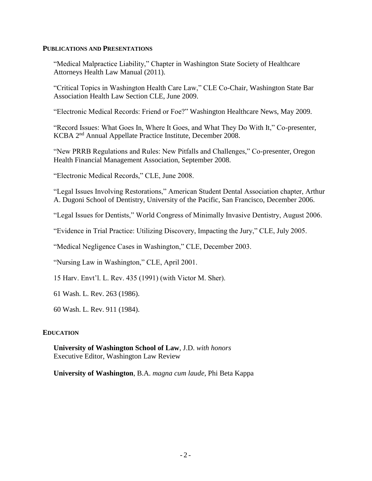#### **PUBLICATIONS AND PRESENTATIONS**

"Medical Malpractice Liability," Chapter in Washington State Society of Healthcare Attorneys Health Law Manual (2011).

"Critical Topics in Washington Health Care Law," CLE Co-Chair, Washington State Bar Association Health Law Section CLE, June 2009.

"Electronic Medical Records: Friend or Foe?" Washington Healthcare News, May 2009.

"Record Issues: What Goes In, Where It Goes, and What They Do With It," Co-presenter, KCBA 2nd Annual Appellate Practice Institute, December 2008.

"New PRRB Regulations and Rules: New Pitfalls and Challenges," Co-presenter, Oregon Health Financial Management Association, September 2008.

"Electronic Medical Records," CLE, June 2008.

"Legal Issues Involving Restorations," American Student Dental Association chapter, Arthur A. Dugoni School of Dentistry, University of the Pacific, San Francisco, December 2006.

"Legal Issues for Dentists," World Congress of Minimally Invasive Dentistry, August 2006.

"Evidence in Trial Practice: Utilizing Discovery, Impacting the Jury," CLE, July 2005.

"Medical Negligence Cases in Washington," CLE, December 2003.

"Nursing Law in Washington," CLE, April 2001.

15 Harv. Envt'l. L. Rev. 435 (1991) (with Victor M. Sher).

61 Wash. L. Rev. 263 (1986).

60 Wash. L. Rev. 911 (1984).

### **EDUCATION**

**University of Washington School of Law**, J.D. *with honors*  Executive Editor, Washington Law Review

**University of Washington**, B.A. *magna cum laude*, Phi Beta Kappa